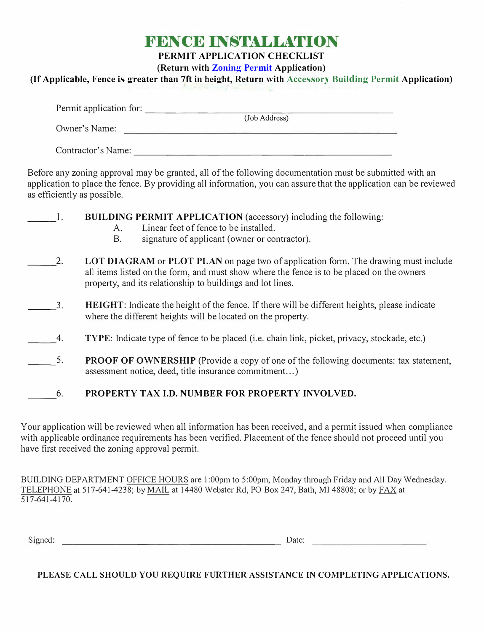## **FENCE INSTALLATION**

**PERMIT APPLICATION CHECKLIST** 

**(Return with Zoning Permit Application)**

**(If Applicable, Fence is greater than 7ft in height, Return with Accessory Building Permit Application)**

|                    | (Job Address)                                |
|--------------------|----------------------------------------------|
| Owner's Name:      | the control of the control of the control of |
| Contractor's Name: |                                              |

Before any zoning approval may be granted, all of the following documentation must be submitted with an application to place the fence. By providing all information, you can assure that the application can be reviewed as efficiently as possible.

|    | <b>BUILDING PERMIT APPLICATION</b> (accessory) including the following:<br>Linear feet of fence to be installed.<br>Α.<br>signature of applicant (owner or contractor).<br>Β.                                                                 |  |  |  |
|----|-----------------------------------------------------------------------------------------------------------------------------------------------------------------------------------------------------------------------------------------------|--|--|--|
| 2. | LOT DIAGRAM or PLOT PLAN on page two of application form. The drawing must include<br>all items listed on the form, and must show where the fence is to be placed on the owners<br>property, and its relationship to buildings and lot lines. |  |  |  |
| 3. | <b>HEIGHT:</b> Indicate the height of the fence. If there will be different heights, please indicate<br>where the different heights will be located on the property.                                                                          |  |  |  |
| 4. | <b>TYPE:</b> Indicate type of fence to be placed (i.e. chain link, picket, privacy, stockade, etc.)                                                                                                                                           |  |  |  |
| 5. | <b>PROOF OF OWNERSHIP</b> (Provide a copy of one of the following documents: tax statement,<br>assessment notice, deed, title insurance commitment)                                                                                           |  |  |  |
| 6. | PROPERTY TAX I.D. NUMBER FOR PROPERTY INVOLVED.                                                                                                                                                                                               |  |  |  |

Your application will be reviewed when all information has been received, and a permit issued when compliance with applicable ordinance requirements has been verified. Placement of the fence should not proceed until you have first received the zoning approval permit.

BUILDING DEPARTMENT OFFICE HOURS are I :00pm to 5:00pm, Monday through Friday and All Day Wednesday. TELEPHONE at 517-641-4238; by MAIL at 14480 Webster Rd, PO Box 247, Bath, MI 48808; or by FAX at 517-641-4170.

Signed: Date: Date: Date: Date: Date: Date: Date: Date: Date: Date: Date: Date: Date: Date: Date: Date: Date: Date: Date: Date: Date: Date: Date: Date: Date: Date: Date: Date: Date: Date: Date: Date: Date: Date: Date: Date

**PLEASE CALL SHOULD YOU REQUIRE FURTHER ASSISTANCE IN COMPLETING APPLICATIONS.**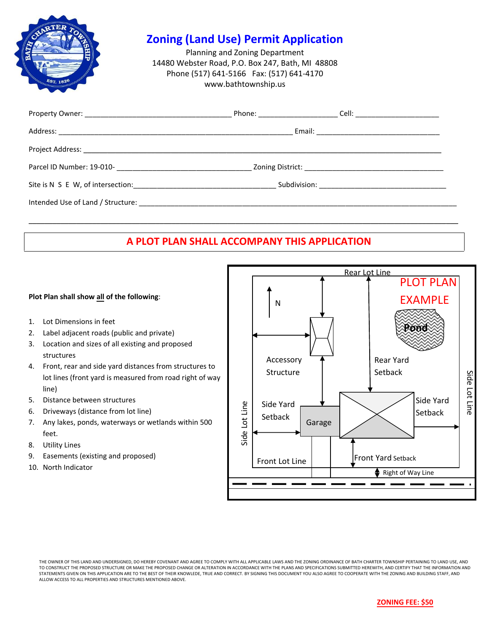

### **Zoning (Land Use) Permit Application**

Planning and Zoning Department 14480 Webster Road, P.O. Box 247, Bath, MI 48808 Phone (517) 641-5166 Fax: (517) 641-4170 www.bathtownship.us

| Intended Use of Land / Structure: North and Structure of the Structure of the Structure of the Structure of the Structure of the Structure of the Structure of the Structure of the Structure of the Structure of the Structur |  |
|--------------------------------------------------------------------------------------------------------------------------------------------------------------------------------------------------------------------------------|--|

### **A PLOT PLAN SHALL ACCOMPANY THIS APPLICATION**

\_\_\_\_\_\_\_\_\_\_\_\_\_\_\_\_\_\_\_\_\_\_\_\_\_\_\_\_\_\_\_\_\_\_\_\_\_\_\_\_\_\_\_\_\_\_\_\_\_\_\_\_\_\_\_\_\_\_\_\_\_\_\_\_\_\_\_\_\_\_\_\_\_\_\_\_\_\_\_\_\_\_\_\_\_\_\_\_\_\_\_\_\_\_\_\_\_\_\_\_\_\_\_\_\_\_\_\_

#### **Plot Plan shall show all of the following**:

- 1. Lot Dimensions in feet
- 2. Label adjacent roads (public and private)
- 3. Location and sizes of all existing and proposed structures
- 4. Front, rear and side yard distances from structures to lot lines (front yard is measured from road right of way line)
- 5. Distance between structures
- 6. Driveways (distance from lot line)
- 7. Any lakes, ponds, waterways or wetlands within 500 feet.
- 8. Utility Lines
- 9. Easements (existing and proposed)
- 10. North Indicator



THE OWNER OF THIS LAND AND UNDERSIGNED, DO HEREBY COVENANT AND AGREE TO COMPLY WITH ALL APPLICABLE LAWS AND THE ZONING ORDINANCE OF BATH CHARTER TOWNSHIP PERTAINING TO LAND USE, AND TO CONSTRUCT THE PROPOSED STRUCTURE OR MAKE THE PROPOSED CHANGE OR ALTERATION IN ACCORDANCE WITH THE PLANS AND SPECIFICATIONS SUBMITTED HEREWITH, AND CERTIFY THAT THE INFORMATION AND STATEMENTS GIVEN ON THIS APPLICATION ARE TO THE BEST OF THEIR KNOWLEDE, TRUE AND CORRECT. BY SIGNING THIS DOCUMENT YOU ALSO AGREE TO COOPERATE WITH THE ZONING AND BUILDING STAFF, AND ALLOW ACCESS TO ALL PROPERTIES AND STRUCTURES MENTIONED ABOVE.

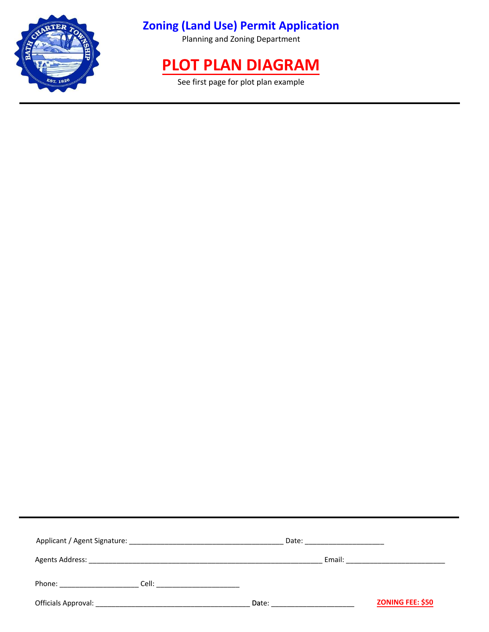

### **Zoning (Land Use) Permit Application**

Planning and Zoning Department

# **PLOT PLAN DIAGRAM**

See first page for plot plan example

|                                                                                                                                                                                                                                                                                                                                                                                                                         | Date: ______________________ |                                                                                                                                                                                                                                |
|-------------------------------------------------------------------------------------------------------------------------------------------------------------------------------------------------------------------------------------------------------------------------------------------------------------------------------------------------------------------------------------------------------------------------|------------------------------|--------------------------------------------------------------------------------------------------------------------------------------------------------------------------------------------------------------------------------|
|                                                                                                                                                                                                                                                                                                                                                                                                                         |                              | Email: Email: All and the state of the state of the state of the state of the state of the state of the state of the state of the state of the state of the state of the state of the state of the state of the state of the s |
| <b>Cell: Cell</b> : <b>Cell</b> : <b>Cell</b> : <b>Cell</b> : <b>Cell</b> : <b>Cell</b> : <b>Cell</b> : <b>Cell</b> : <b>Cell</b> : <b>Cell</b> : <b>Cell</b> : <b>Cell</b> : <b>Cell</b> : <b>Cell</b> : <b>Cell</b> : <b>Cell</b> : <b>Cell</b> : <b>Cell</b> : <b>Cell</b> : <b>Cell</b> : <b>Cell</b> : <b>Cell</b> : <b>Cell</b> : <b>Cell</b> : <b>Cell</b> : <b>Cell</b> : <b>Cell</b><br>Phone: <u>________</u> |                              |                                                                                                                                                                                                                                |
|                                                                                                                                                                                                                                                                                                                                                                                                                         | Date:                        | ZONING FEE: \$50                                                                                                                                                                                                               |